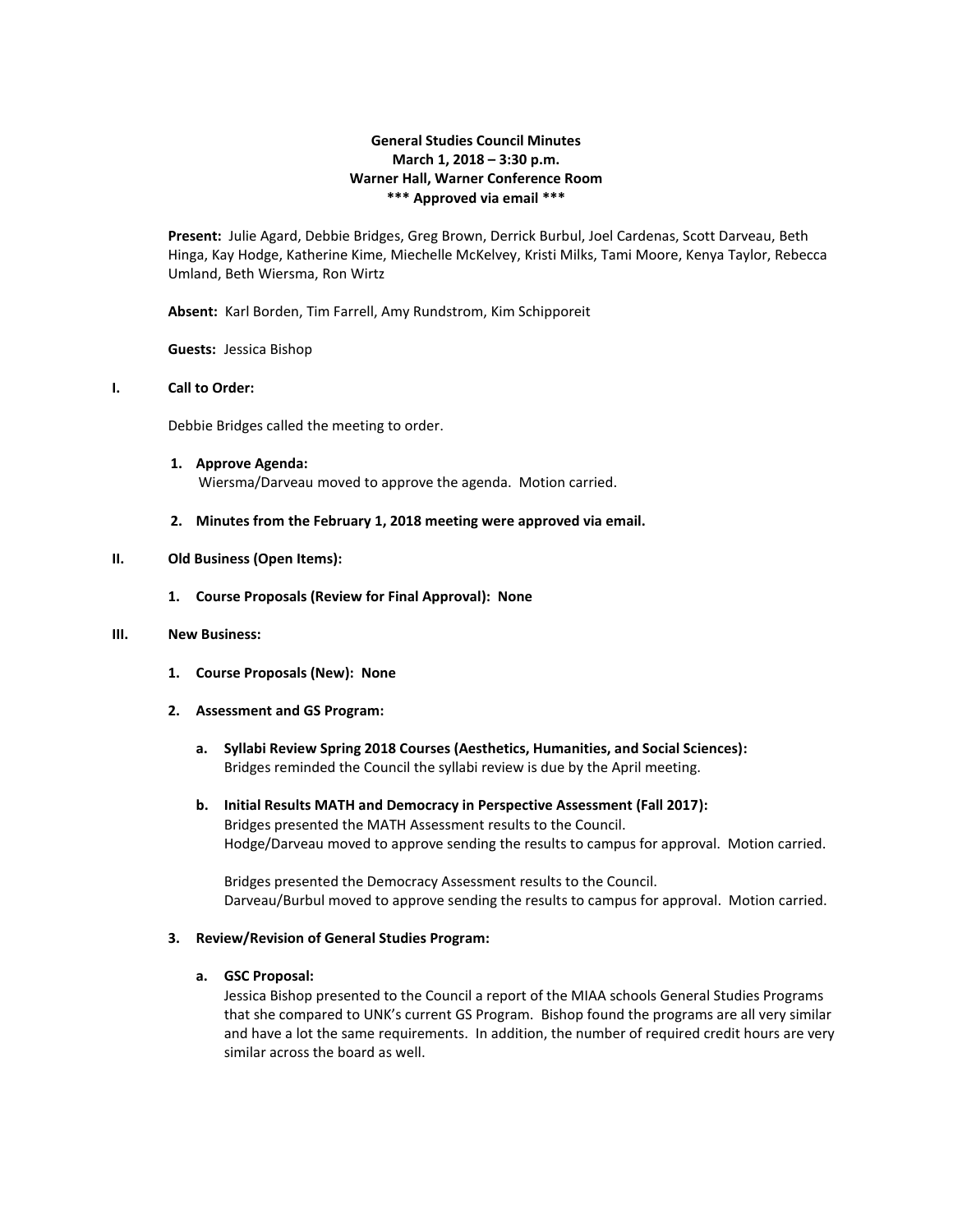# **General Studies Council Minutes March 1, 2018 – 3:30 p.m. Warner Hall, Warner Conference Room \*\*\* Approved via email \*\*\***

**Present:** Julie Agard, Debbie Bridges, Greg Brown, Derrick Burbul, Joel Cardenas, Scott Darveau, Beth Hinga, Kay Hodge, Katherine Kime, Miechelle McKelvey, Kristi Milks, Tami Moore, Kenya Taylor, Rebecca Umland, Beth Wiersma, Ron Wirtz

**Absent:** Karl Borden, Tim Farrell, Amy Rundstrom, Kim Schipporeit

**Guests:** Jessica Bishop

## **I. Call to Order:**

Debbie Bridges called the meeting to order.

- **1. Approve Agenda:** Wiersma/Darveau moved to approve the agenda. Motion carried.
- **2. Minutes from the February 1, 2018 meeting were approved via email.**

### **II. Old Business (Open Items):**

**1. Course Proposals (Review for Final Approval): None**

### **III. New Business:**

- **1. Course Proposals (New): None**
- **2. Assessment and GS Program:**
	- **a. Syllabi Review Spring 2018 Courses (Aesthetics, Humanities, and Social Sciences):** Bridges reminded the Council the syllabi review is due by the April meeting.
	- **b. Initial Results MATH and Democracy in Perspective Assessment (Fall 2017):** Bridges presented the MATH Assessment results to the Council. Hodge/Darveau moved to approve sending the results to campus for approval. Motion carried.

Bridges presented the Democracy Assessment results to the Council. Darveau/Burbul moved to approve sending the results to campus for approval. Motion carried.

## **3. Review/Revision of General Studies Program:**

#### **a. GSC Proposal:**

Jessica Bishop presented to the Council a report of the MIAA schools General Studies Programs that she compared to UNK's current GS Program. Bishop found the programs are all very similar and have a lot the same requirements. In addition, the number of required credit hours are very similar across the board as well.